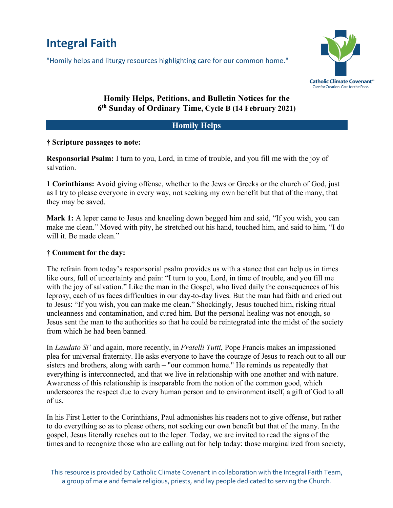# **Integral Faith**

"Homily helps and liturgy resources highlighting care for our common home."



## **Homily Helps, Petitions, and Bulletin Notices for the 6th Sunday of Ordinary Time, Cycle B (14 February 2021)**

#### **Homily Helps**

#### **† Scripture passages to note:**

**Responsorial Psalm:** I turn to you, Lord, in time of trouble, and you fill me with the joy of salvation.

**1 Corinthians:** Avoid giving offense, whether to the Jews or Greeks or the church of God, just as I try to please everyone in every way, not seeking my own benefit but that of the many, that they may be saved.

**Mark 1:** A leper came to Jesus and kneeling down begged him and said, "If you wish, you can make me clean." Moved with pity, he stretched out his hand, touched him, and said to him, "I do will it. Be made clean."

#### **† Comment for the day:**

The refrain from today's responsorial psalm provides us with a stance that can help us in times like ours, full of uncertainty and pain: "I turn to you, Lord, in time of trouble, and you fill me with the joy of salvation." Like the man in the Gospel, who lived daily the consequences of his leprosy, each of us faces difficulties in our day-to-day lives. But the man had faith and cried out to Jesus: "If you wish, you can make me clean." Shockingly, Jesus touched him, risking ritual uncleanness and contamination, and cured him. But the personal healing was not enough, so Jesus sent the man to the authorities so that he could be reintegrated into the midst of the society from which he had been banned.

In *Laudato Si'* and again, more recently, in *Fratelli Tutti*, Pope Francis makes an impassioned plea for universal fraternity. He asks everyone to have the courage of Jesus to reach out to all our sisters and brothers, along with earth – "our common home." He reminds us repeatedly that everything is interconnected, and that we live in relationship with one another and with nature. Awareness of this relationship is inseparable from the notion of the common good, which underscores the respect due to every human person and to environment itself, a gift of God to all of us.

In his First Letter to the Corinthians, Paul admonishes his readers not to give offense, but rather to do everything so as to please others, not seeking our own benefit but that of the many. In the gospel, Jesus literally reaches out to the leper. Today, we are invited to read the signs of the times and to recognize those who are calling out for help today: those marginalized from society,